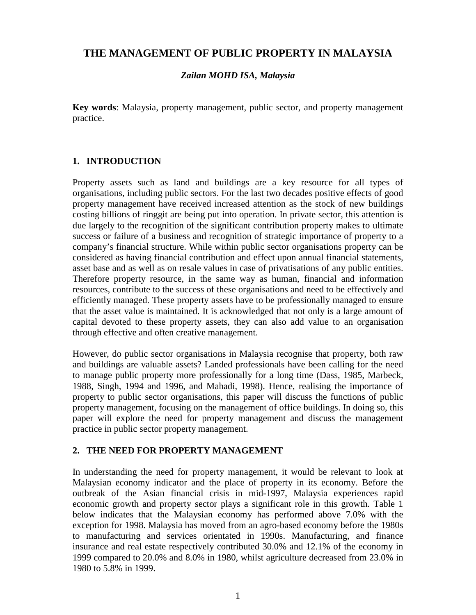# **THE MANAGEMENT OF PUBLIC PROPERTY IN MALAYSIA**

### *Zailan MOHD ISA, Malaysia*

**Key words**: Malaysia, property management, public sector, and property management practice.

### **1. INTRODUCTION**

Property assets such as land and buildings are a key resource for all types of organisations, including public sectors. For the last two decades positive effects of good property management have received increased attention as the stock of new buildings costing billions of ringgit are being put into operation. In private sector, this attention is due largely to the recognition of the significant contribution property makes to ultimate success or failure of a business and recognition of strategic importance of property to a company's financial structure. While within public sector organisations property can be considered as having financial contribution and effect upon annual financial statements, asset base and as well as on resale values in case of privatisations of any public entities. Therefore property resource, in the same way as human, financial and information resources, contribute to the success of these organisations and need to be effectively and efficiently managed. These property assets have to be professionally managed to ensure that the asset value is maintained. It is acknowledged that not only is a large amount of capital devoted to these property assets, they can also add value to an organisation through effective and often creative management.

However, do public sector organisations in Malaysia recognise that property, both raw and buildings are valuable assets? Landed professionals have been calling for the need to manage public property more professionally for a long time (Dass, 1985, Marbeck, 1988, Singh, 1994 and 1996, and Mahadi, 1998). Hence, realising the importance of property to public sector organisations, this paper will discuss the functions of public property management, focusing on the management of office buildings. In doing so, this paper will explore the need for property management and discuss the management practice in public sector property management.

## **2. THE NEED FOR PROPERTY MANAGEMENT**

In understanding the need for property management, it would be relevant to look at Malaysian economy indicator and the place of property in its economy. Before the outbreak of the Asian financial crisis in mid-1997, Malaysia experiences rapid economic growth and property sector plays a significant role in this growth. Table 1 below indicates that the Malaysian economy has performed above 7.0% with the exception for 1998. Malaysia has moved from an agro-based economy before the 1980s to manufacturing and services orientated in 1990s. Manufacturing, and finance insurance and real estate respectively contributed 30.0% and 12.1% of the economy in 1999 compared to 20.0% and 8.0% in 1980, whilst agriculture decreased from 23.0% in 1980 to 5.8% in 1999.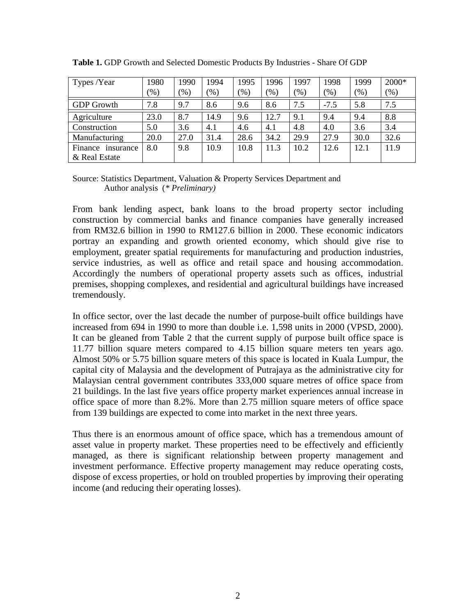| Types /Year          | 1980   | 1990 | 1994    | 1995    | 1996 | 1997 | 1998    | 1999 | 2000*         |
|----------------------|--------|------|---------|---------|------|------|---------|------|---------------|
|                      | $(\%)$ | (96) | $(\% )$ | $(\% )$ | (%)  | (% ) | $(\% )$ | (% ) | $\frac{9}{6}$ |
| <b>GDP</b> Growth    | 7.8    | 9.7  | 8.6     | 9.6     | 8.6  | 7.5  | $-7.5$  | 5.8  | 7.5           |
| Agriculture          | 23.0   | 8.7  | 14.9    | 9.6     | 12.7 | 9.1  | 9.4     | 9.4  | 8.8           |
| Construction         | 5.0    | 3.6  | 4.1     | 4.6     | 4.1  | 4.8  | 4.0     | 3.6  | 3.4           |
| Manufacturing        | 20.0   | 27.0 | 31.4    | 28.6    | 34.2 | 29.9 | 27.9    | 30.0 | 32.6          |
| Finance<br>insurance | 8.0    | 9.8  | 10.9    | 10.8    | 11.3 | 10.2 | 12.6    | 12.1 | 11.9          |
| & Real Estate        |        |      |         |         |      |      |         |      |               |

**Table 1.** GDP Growth and Selected Domestic Products By Industries - Share Of GDP

Source: Statistics Department, Valuation & Property Services Department and Author analysis (*\* Preliminary)*

From bank lending aspect, bank loans to the broad property sector including construction by commercial banks and finance companies have generally increased from RM32.6 billion in 1990 to RM127.6 billion in 2000. These economic indicators portray an expanding and growth oriented economy, which should give rise to employment, greater spatial requirements for manufacturing and production industries, service industries, as well as office and retail space and housing accommodation. Accordingly the numbers of operational property assets such as offices, industrial premises, shopping complexes, and residential and agricultural buildings have increased tremendously.

In office sector, over the last decade the number of purpose-built office buildings have increased from 694 in 1990 to more than double i.e. 1,598 units in 2000 (VPSD, 2000). It can be gleaned from Table 2 that the current supply of purpose built office space is 11.77 billion square meters compared to 4.15 billion square meters ten years ago. Almost 50% or 5.75 billion square meters of this space is located in Kuala Lumpur, the capital city of Malaysia and the development of Putrajaya as the administrative city for Malaysian central government contributes 333,000 square metres of office space from 21 buildings. In the last five years office property market experiences annual increase in office space of more than 8.2%. More than 2.75 million square meters of office space from 139 buildings are expected to come into market in the next three years.

Thus there is an enormous amount of office space, which has a tremendous amount of asset value in property market. These properties need to be effectively and efficiently managed, as there is significant relationship between property management and investment performance. Effective property management may reduce operating costs, dispose of excess properties, or hold on troubled properties by improving their operating income (and reducing their operating losses).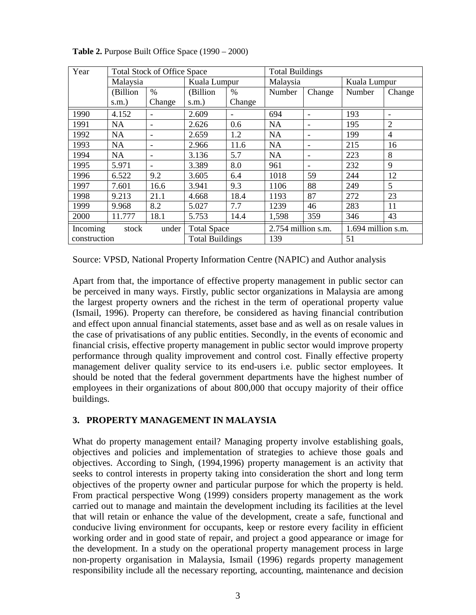| Year                       |           | <b>Total Stock of Office Space</b> |                        |                              | <b>Total Buildings</b> |                          |              |                |  |
|----------------------------|-----------|------------------------------------|------------------------|------------------------------|------------------------|--------------------------|--------------|----------------|--|
|                            | Malaysia  |                                    | Kuala Lumpur           |                              | Malaysia               |                          | Kuala Lumpur |                |  |
|                            | (Billion  | $\frac{0}{0}$                      | (Billion               | $\frac{0}{0}$                | Number                 | Change                   | Number       | Change         |  |
|                            | $s.m.$ )  | Change                             | s.m.)                  | Change                       |                        |                          |              |                |  |
| 1990                       | 4.152     |                                    | 2.609                  | $\qquad \qquad \blacksquare$ | 694                    |                          | 193          |                |  |
| 1991                       | <b>NA</b> | ۰                                  | 2.626                  | 0.6                          | <b>NA</b>              | $\overline{\phantom{0}}$ | 195          | $\overline{2}$ |  |
| 1992                       | <b>NA</b> | $\qquad \qquad$                    | 2.659                  | 1.2                          | <b>NA</b>              | $\overline{\phantom{a}}$ | 199          | $\overline{4}$ |  |
| 1993                       | <b>NA</b> | ۰                                  | 2.966                  | 11.6                         | <b>NA</b>              | $\overline{\phantom{0}}$ | 215          | 16             |  |
| 1994                       | <b>NA</b> | $\qquad \qquad$                    | 3.136                  | 5.7                          | <b>NA</b>              | $\overline{\phantom{a}}$ | 223          | 8              |  |
| 1995                       | 5.971     |                                    | 3.389                  | 8.0                          | 961                    |                          | 232          | 9              |  |
| 1996                       | 6.522     | 9.2                                | 3.605                  | 6.4                          | 1018                   | 59                       | 244          | 12             |  |
| 1997                       | 7.601     | 16.6                               | 3.941                  | 9.3                          | 1106                   | 88                       | 249          | 5              |  |
| 1998                       | 9.213     | 21.1                               | 4.668                  | 18.4                         | 1193                   | 87                       | 272          | 23             |  |
| 1999                       | 9.968     | 8.2                                | 5.027                  | 7.7                          | 1239                   | 46                       | 283          | 11             |  |
| 2000                       | 11.777    | 18.1                               | 5.753                  | 14.4                         | 1,598                  | 359                      | 346          | 43             |  |
| Incoming<br>under<br>stock |           | <b>Total Space</b>                 |                        | 2.754 million s.m.           |                        | 1.694 million s.m.       |              |                |  |
| construction               |           |                                    | <b>Total Buildings</b> |                              | 139                    |                          | 51           |                |  |

**Table 2.** Purpose Built Office Space (1990 – 2000)

Source: VPSD, National Property Information Centre (NAPIC) and Author analysis

Apart from that, the importance of effective property management in public sector can be perceived in many ways. Firstly, public sector organizations in Malaysia are among the largest property owners and the richest in the term of operational property value (Ismail, 1996). Property can therefore, be considered as having financial contribution and effect upon annual financial statements, asset base and as well as on resale values in the case of privatisations of any public entities. Secondly, in the events of economic and financial crisis, effective property management in public sector would improve property performance through quality improvement and control cost. Finally effective property management deliver quality service to its end-users i.e. public sector employees. It should be noted that the federal government departments have the highest number of employees in their organizations of about 800,000 that occupy majority of their office buildings.

### **3. PROPERTY MANAGEMENT IN MALAYSIA**

What do property management entail? Managing property involve establishing goals, objectives and policies and implementation of strategies to achieve those goals and objectives. According to Singh, (1994,1996) property management is an activity that seeks to control interests in property taking into consideration the short and long term objectives of the property owner and particular purpose for which the property is held. From practical perspective Wong (1999) considers property management as the work carried out to manage and maintain the development including its facilities at the level that will retain or enhance the value of the development, create a safe, functional and conducive living environment for occupants, keep or restore every facility in efficient working order and in good state of repair, and project a good appearance or image for the development. In a study on the operational property management process in large non-property organisation in Malaysia, Ismail (1996) regards property management responsibility include all the necessary reporting, accounting, maintenance and decision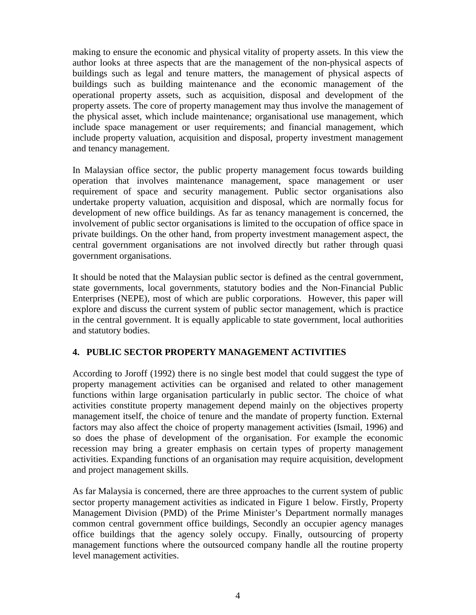making to ensure the economic and physical vitality of property assets. In this view the author looks at three aspects that are the management of the non-physical aspects of buildings such as legal and tenure matters, the management of physical aspects of buildings such as building maintenance and the economic management of the operational property assets, such as acquisition, disposal and development of the property assets. The core of property management may thus involve the management of the physical asset, which include maintenance; organisational use management, which include space management or user requirements; and financial management, which include property valuation, acquisition and disposal, property investment management and tenancy management.

In Malaysian office sector, the public property management focus towards building operation that involves maintenance management, space management or user requirement of space and security management. Public sector organisations also undertake property valuation, acquisition and disposal, which are normally focus for development of new office buildings. As far as tenancy management is concerned, the involvement of public sector organisations is limited to the occupation of office space in private buildings. On the other hand, from property investment management aspect, the central government organisations are not involved directly but rather through quasi government organisations.

It should be noted that the Malaysian public sector is defined as the central government, state governments, local governments, statutory bodies and the Non-Financial Public Enterprises (NEPE), most of which are public corporations. However, this paper will explore and discuss the current system of public sector management, which is practice in the central government. It is equally applicable to state government, local authorities and statutory bodies.

## **4. PUBLIC SECTOR PROPERTY MANAGEMENT ACTIVITIES**

According to Joroff (1992) there is no single best model that could suggest the type of property management activities can be organised and related to other management functions within large organisation particularly in public sector. The choice of what activities constitute property management depend mainly on the objectives property management itself, the choice of tenure and the mandate of property function. External factors may also affect the choice of property management activities (Ismail, 1996) and so does the phase of development of the organisation. For example the economic recession may bring a greater emphasis on certain types of property management activities. Expanding functions of an organisation may require acquisition, development and project management skills.

As far Malaysia is concerned, there are three approaches to the current system of public sector property management activities as indicated in Figure 1 below. Firstly, Property Management Division (PMD) of the Prime Minister's Department normally manages common central government office buildings, Secondly an occupier agency manages office buildings that the agency solely occupy. Finally, outsourcing of property management functions where the outsourced company handle all the routine property level management activities.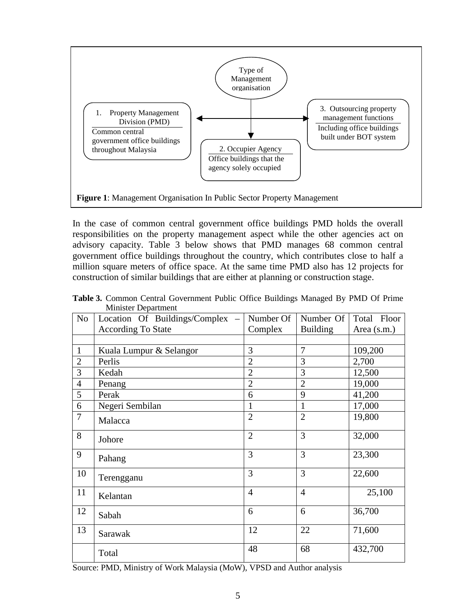

In the case of common central government office buildings PMD holds the overall responsibilities on the property management aspect while the other agencies act on advisory capacity. Table 3 below shows that PMD manages 68 common central government office buildings throughout the country, which contributes close to half a million square meters of office space. At the same time PMD also has 12 projects for construction of similar buildings that are either at planning or construction stage.

| N <sub>o</sub> | Location Of Buildings/Complex | Number Of      | Number Of       | Total Floor |
|----------------|-------------------------------|----------------|-----------------|-------------|
|                | <b>According To State</b>     | Complex        | <b>Building</b> | Area (s.m.) |
|                |                               |                |                 |             |
|                | Kuala Lumpur & Selangor       | 3              | 7               | 109,200     |
| $\overline{2}$ | Perlis                        | $\overline{2}$ | 3               | 2,700       |
| 3              | Kedah                         | $\overline{2}$ | 3               | 12,500      |
| $\overline{4}$ | Penang                        | $\overline{2}$ | $\overline{2}$  | 19,000      |
| 5              | Perak                         | 6              | 9               | 41,200      |
| 6              | Negeri Sembilan               | 1              | 1               | 17,000      |
| $\tau$         | Malacca                       | $\overline{2}$ | $\overline{2}$  | 19,800      |
| 8              | Johore                        | $\overline{2}$ | 3               | 32,000      |
| 9              | Pahang                        | 3              | 3               | 23,300      |
| 10             | Terengganu                    | 3              | 3               | 22,600      |
| 11             | Kelantan                      | $\overline{4}$ | $\overline{4}$  | 25,100      |
| 12             | Sabah                         | 6              | 6               | 36,700      |
| 13             | Sarawak                       | 12             | 22              | 71,600      |
|                | Total                         | 48             | 68              | 432,700     |

**Table 3.** Common Central Government Public Office Buildings Managed By PMD Of Prime Minister Department

Source: PMD, Ministry of Work Malaysia (MoW), VPSD and Author analysis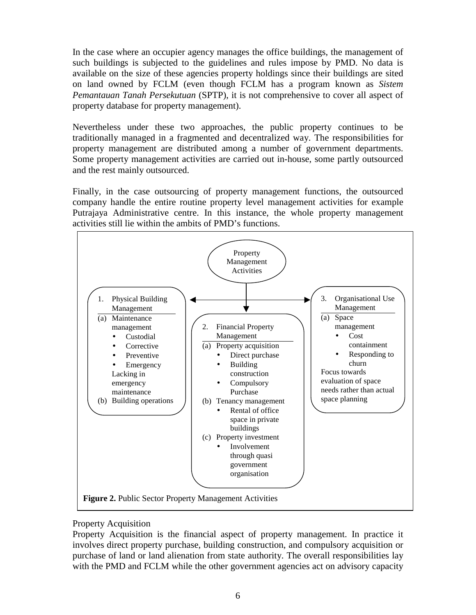In the case where an occupier agency manages the office buildings, the management of such buildings is subjected to the guidelines and rules impose by PMD. No data is available on the size of these agencies property holdings since their buildings are sited on land owned by FCLM (even though FCLM has a program known as *Sistem Pemantauan Tanah Persekutuan* (SPTP), it is not comprehensive to cover all aspect of property database for property management).

Nevertheless under these two approaches, the public property continues to be traditionally managed in a fragmented and decentralized way. The responsibilities for property management are distributed among a number of government departments. Some property management activities are carried out in-house, some partly outsourced and the rest mainly outsourced.

Finally, in the case outsourcing of property management functions, the outsourced company handle the entire routine property level management activities for example Putrajaya Administrative centre. In this instance, the whole property management activities still lie within the ambits of PMD's functions.



## Property Acquisition

Property Acquisition is the financial aspect of property management. In practice it involves direct property purchase, building construction, and compulsory acquisition or purchase of land or land alienation from state authority. The overall responsibilities lay with the PMD and FCLM while the other government agencies act on advisory capacity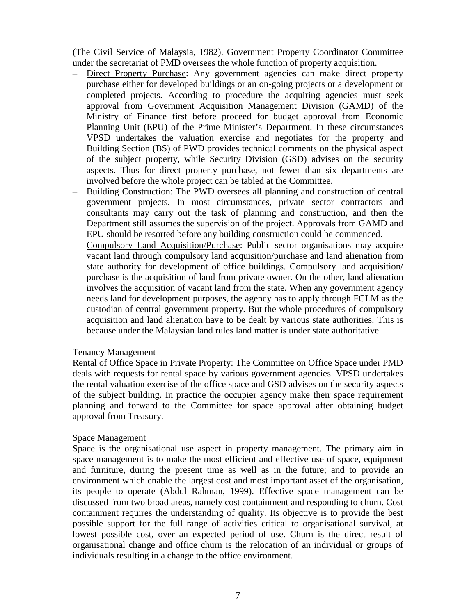(The Civil Service of Malaysia, 1982). Government Property Coordinator Committee under the secretariat of PMD oversees the whole function of property acquisition.

- Direct Property Purchase: Any government agencies can make direct property purchase either for developed buildings or an on-going projects or a development or completed projects. According to procedure the acquiring agencies must seek approval from Government Acquisition Management Division (GAMD) of the Ministry of Finance first before proceed for budget approval from Economic Planning Unit (EPU) of the Prime Minister's Department. In these circumstances VPSD undertakes the valuation exercise and negotiates for the property and Building Section (BS) of PWD provides technical comments on the physical aspect of the subject property, while Security Division (GSD) advises on the security aspects. Thus for direct property purchase, not fewer than six departments are involved before the whole project can be tabled at the Committee.
- Building Construction: The PWD oversees all planning and construction of central government projects. In most circumstances, private sector contractors and consultants may carry out the task of planning and construction, and then the Department still assumes the supervision of the project. Approvals from GAMD and EPU should be resorted before any building construction could be commenced.
- Compulsory Land Acquisition/Purchase: Public sector organisations may acquire vacant land through compulsory land acquisition/purchase and land alienation from state authority for development of office buildings. Compulsory land acquisition/ purchase is the acquisition of land from private owner. On the other, land alienation involves the acquisition of vacant land from the state. When any government agency needs land for development purposes, the agency has to apply through FCLM as the custodian of central government property. But the whole procedures of compulsory acquisition and land alienation have to be dealt by various state authorities. This is because under the Malaysian land rules land matter is under state authoritative.

#### Tenancy Management

Rental of Office Space in Private Property: The Committee on Office Space under PMD deals with requests for rental space by various government agencies. VPSD undertakes the rental valuation exercise of the office space and GSD advises on the security aspects of the subject building. In practice the occupier agency make their space requirement planning and forward to the Committee for space approval after obtaining budget approval from Treasury.

#### Space Management

Space is the organisational use aspect in property management. The primary aim in space management is to make the most efficient and effective use of space, equipment and furniture, during the present time as well as in the future; and to provide an environment which enable the largest cost and most important asset of the organisation, its people to operate (Abdul Rahman, 1999). Effective space management can be discussed from two broad areas, namely cost containment and responding to churn. Cost containment requires the understanding of quality. Its objective is to provide the best possible support for the full range of activities critical to organisational survival, at lowest possible cost, over an expected period of use. Churn is the direct result of organisational change and office churn is the relocation of an individual or groups of individuals resulting in a change to the office environment.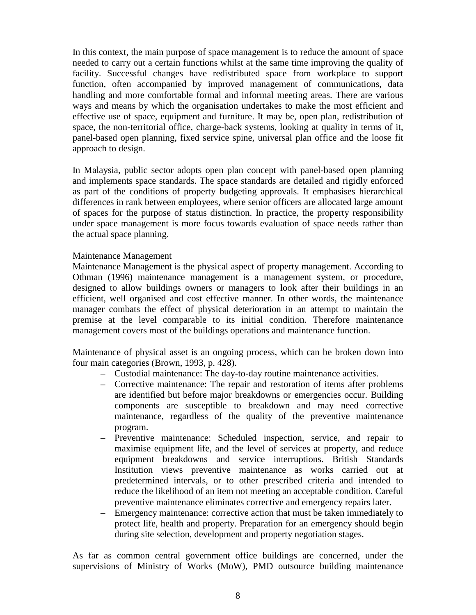In this context, the main purpose of space management is to reduce the amount of space needed to carry out a certain functions whilst at the same time improving the quality of facility. Successful changes have redistributed space from workplace to support function, often accompanied by improved management of communications, data handling and more comfortable formal and informal meeting areas. There are various ways and means by which the organisation undertakes to make the most efficient and effective use of space, equipment and furniture. It may be, open plan, redistribution of space, the non-territorial office, charge-back systems, looking at quality in terms of it, panel-based open planning, fixed service spine, universal plan office and the loose fit approach to design.

In Malaysia, public sector adopts open plan concept with panel-based open planning and implements space standards. The space standards are detailed and rigidly enforced as part of the conditions of property budgeting approvals. It emphasises hierarchical differences in rank between employees, where senior officers are allocated large amount of spaces for the purpose of status distinction. In practice, the property responsibility under space management is more focus towards evaluation of space needs rather than the actual space planning.

### Maintenance Management

Maintenance Management is the physical aspect of property management. According to Othman (1996) maintenance management is a management system, or procedure, designed to allow buildings owners or managers to look after their buildings in an efficient, well organised and cost effective manner. In other words, the maintenance manager combats the effect of physical deterioration in an attempt to maintain the premise at the level comparable to its initial condition. Therefore maintenance management covers most of the buildings operations and maintenance function.

Maintenance of physical asset is an ongoing process, which can be broken down into four main categories (Brown, 1993, p. 428).

- Custodial maintenance: The day-to-day routine maintenance activities.
- Corrective maintenance: The repair and restoration of items after problems are identified but before major breakdowns or emergencies occur. Building components are susceptible to breakdown and may need corrective maintenance, regardless of the quality of the preventive maintenance program.
- Preventive maintenance: Scheduled inspection, service, and repair to maximise equipment life, and the level of services at property, and reduce equipment breakdowns and service interruptions. British Standards Institution views preventive maintenance as works carried out at predetermined intervals, or to other prescribed criteria and intended to reduce the likelihood of an item not meeting an acceptable condition. Careful preventive maintenance eliminates corrective and emergency repairs later.
- Emergency maintenance: corrective action that must be taken immediately to protect life, health and property. Preparation for an emergency should begin during site selection, development and property negotiation stages.

As far as common central government office buildings are concerned, under the supervisions of Ministry of Works (MoW), PMD outsource building maintenance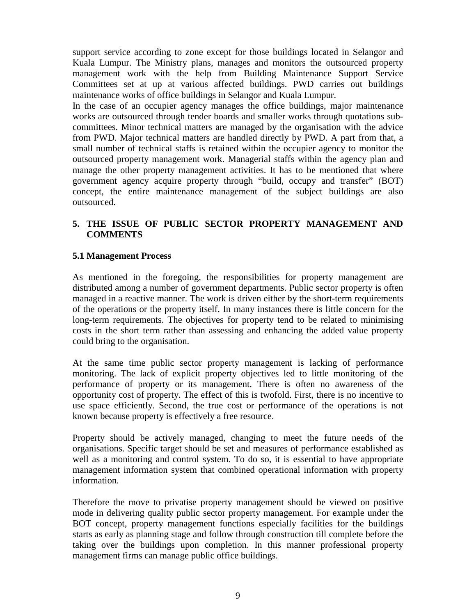support service according to zone except for those buildings located in Selangor and Kuala Lumpur. The Ministry plans, manages and monitors the outsourced property management work with the help from Building Maintenance Support Service Committees set at up at various affected buildings. PWD carries out buildings maintenance works of office buildings in Selangor and Kuala Lumpur.

In the case of an occupier agency manages the office buildings, major maintenance works are outsourced through tender boards and smaller works through quotations subcommittees. Minor technical matters are managed by the organisation with the advice from PWD. Major technical matters are handled directly by PWD. A part from that, a small number of technical staffs is retained within the occupier agency to monitor the outsourced property management work. Managerial staffs within the agency plan and manage the other property management activities. It has to be mentioned that where government agency acquire property through "build, occupy and transfer" (BOT) concept, the entire maintenance management of the subject buildings are also outsourced.

## **5. THE ISSUE OF PUBLIC SECTOR PROPERTY MANAGEMENT AND COMMENTS**

### **5.1 Management Process**

As mentioned in the foregoing, the responsibilities for property management are distributed among a number of government departments. Public sector property is often managed in a reactive manner. The work is driven either by the short-term requirements of the operations or the property itself. In many instances there is little concern for the long-term requirements. The objectives for property tend to be related to minimising costs in the short term rather than assessing and enhancing the added value property could bring to the organisation.

At the same time public sector property management is lacking of performance monitoring. The lack of explicit property objectives led to little monitoring of the performance of property or its management. There is often no awareness of the opportunity cost of property. The effect of this is twofold. First, there is no incentive to use space efficiently. Second, the true cost or performance of the operations is not known because property is effectively a free resource.

Property should be actively managed, changing to meet the future needs of the organisations. Specific target should be set and measures of performance established as well as a monitoring and control system. To do so, it is essential to have appropriate management information system that combined operational information with property information.

Therefore the move to privatise property management should be viewed on positive mode in delivering quality public sector property management. For example under the BOT concept, property management functions especially facilities for the buildings starts as early as planning stage and follow through construction till complete before the taking over the buildings upon completion. In this manner professional property management firms can manage public office buildings.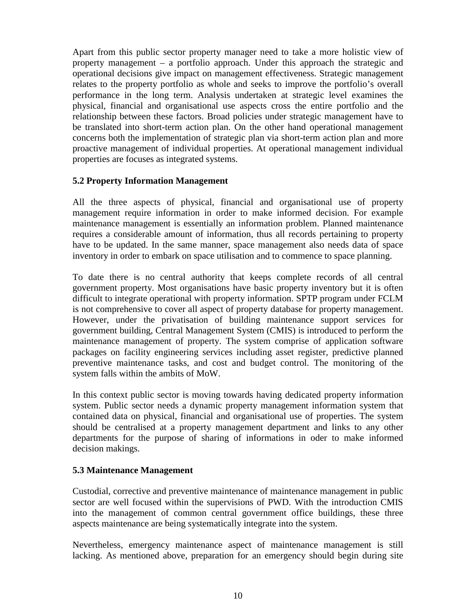Apart from this public sector property manager need to take a more holistic view of property management – a portfolio approach. Under this approach the strategic and operational decisions give impact on management effectiveness. Strategic management relates to the property portfolio as whole and seeks to improve the portfolio's overall performance in the long term. Analysis undertaken at strategic level examines the physical, financial and organisational use aspects cross the entire portfolio and the relationship between these factors. Broad policies under strategic management have to be translated into short-term action plan. On the other hand operational management concerns both the implementation of strategic plan via short-term action plan and more proactive management of individual properties. At operational management individual properties are focuses as integrated systems.

### **5.2 Property Information Management**

All the three aspects of physical, financial and organisational use of property management require information in order to make informed decision. For example maintenance management is essentially an information problem. Planned maintenance requires a considerable amount of information, thus all records pertaining to property have to be updated. In the same manner, space management also needs data of space inventory in order to embark on space utilisation and to commence to space planning.

To date there is no central authority that keeps complete records of all central government property. Most organisations have basic property inventory but it is often difficult to integrate operational with property information. SPTP program under FCLM is not comprehensive to cover all aspect of property database for property management. However, under the privatisation of building maintenance support services for government building, Central Management System (CMIS) is introduced to perform the maintenance management of property. The system comprise of application software packages on facility engineering services including asset register, predictive planned preventive maintenance tasks, and cost and budget control. The monitoring of the system falls within the ambits of MoW.

In this context public sector is moving towards having dedicated property information system. Public sector needs a dynamic property management information system that contained data on physical, financial and organisational use of properties. The system should be centralised at a property management department and links to any other departments for the purpose of sharing of informations in oder to make informed decision makings.

## **5.3 Maintenance Management**

Custodial, corrective and preventive maintenance of maintenance management in public sector are well focused within the supervisions of PWD. With the introduction CMIS into the management of common central government office buildings, these three aspects maintenance are being systematically integrate into the system.

Nevertheless, emergency maintenance aspect of maintenance management is still lacking. As mentioned above, preparation for an emergency should begin during site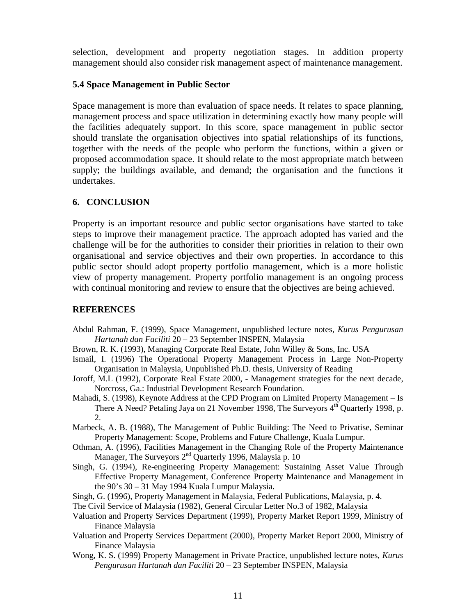selection, development and property negotiation stages. In addition property management should also consider risk management aspect of maintenance management.

#### **5.4 Space Management in Public Sector**

Space management is more than evaluation of space needs. It relates to space planning, management process and space utilization in determining exactly how many people will the facilities adequately support. In this score, space management in public sector should translate the organisation objectives into spatial relationships of its functions, together with the needs of the people who perform the functions, within a given or proposed accommodation space. It should relate to the most appropriate match between supply; the buildings available, and demand; the organisation and the functions it undertakes.

### **6. CONCLUSION**

Property is an important resource and public sector organisations have started to take steps to improve their management practice. The approach adopted has varied and the challenge will be for the authorities to consider their priorities in relation to their own organisational and service objectives and their own properties. In accordance to this public sector should adopt property portfolio management, which is a more holistic view of property management. Property portfolio management is an ongoing process with continual monitoring and review to ensure that the objectives are being achieved.

### **REFERENCES**

- Abdul Rahman, F. (1999), Space Management, unpublished lecture notes, *Kurus Pengurusan Hartanah dan Faciliti* 20 – 23 September INSPEN, Malaysia
- Brown, R. K. (1993), Managing Corporate Real Estate, John Willey & Sons, Inc. USA
- Ismail, I. (1996) The Operational Property Management Process in Large Non-Property Organisation in Malaysia, Unpublished Ph.D. thesis, University of Reading
- Joroff, M.L (1992), Corporate Real Estate 2000, Management strategies for the next decade, Norcross, Ga.: Industrial Development Research Foundation.
- Mahadi, S. (1998), Keynote Address at the CPD Program on Limited Property Management Is There A Need? Petaling Jaya on 21 November 1998, The Surveyors  $4<sup>th</sup>$  Quarterly 1998, p. 2.
- Marbeck, A. B. (1988), The Management of Public Building: The Need to Privatise, Seminar Property Management: Scope, Problems and Future Challenge, Kuala Lumpur.
- Othman, A. (1996), Facilities Management in the Changing Role of the Property Maintenance Manager, The Surveyors  $2<sup>nd</sup>$  Quarterly 1996, Malaysia p. 10
- Singh, G. (1994), Re-engineering Property Management: Sustaining Asset Value Through Effective Property Management, Conference Property Maintenance and Management in the 90's 30 – 31 May 1994 Kuala Lumpur Malaysia.
- Singh, G. (1996), Property Management in Malaysia, Federal Publications, Malaysia, p. 4.
- The Civil Service of Malaysia (1982), General Circular Letter No.3 of 1982, Malaysia
- Valuation and Property Services Department (1999), Property Market Report 1999, Ministry of Finance Malaysia
- Valuation and Property Services Department (2000), Property Market Report 2000, Ministry of Finance Malaysia
- Wong, K. S. (1999) Property Management in Private Practice, unpublished lecture notes, *Kurus Pengurusan Hartanah dan Faciliti* 20 – 23 September INSPEN, Malaysia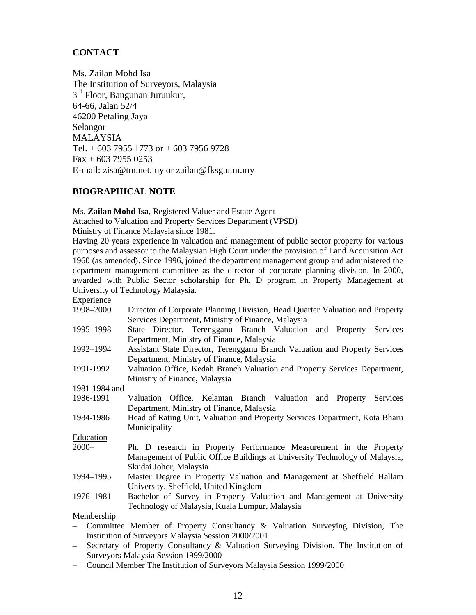# **CONTACT**

Ms. Zailan Mohd Isa The Institution of Surveyors, Malaysia 3<sup>rd</sup> Floor, Bangunan Juruukur, 64-66, Jalan 52/4 46200 Petaling Jaya Selangor MALAYSIA Tel.  $+$  603 7955 1773 or  $+$  603 7956 9728 Fax + 603 7955 0253 E-mail: zisa@tm.net.my or zailan@fksg.utm.my

### **BIOGRAPHICAL NOTE**

Ms. **Zailan Mohd Isa**, Registered Valuer and Estate Agent

Attached to Valuation and Property Services Department (VPSD)

Ministry of Finance Malaysia since 1981.

Having 20 years experience in valuation and management of public sector property for various purposes and assessor to the Malaysian High Court under the provision of Land Acquisition Act 1960 (as amended). Since 1996, joined the department management group and administered the department management committee as the director of corporate planning division. In 2000, awarded with Public Sector scholarship for Ph. D program in Property Management at University of Technology Malaysia.

| Director of Corporate Planning Division, Head Quarter Valuation and Property |
|------------------------------------------------------------------------------|
| Services Department, Ministry of Finance, Malaysia                           |
| State Director, Terengganu Branch Valuation and Property Services            |
| Department, Ministry of Finance, Malaysia                                    |
| Assistant State Director, Terengganu Branch Valuation and Property Services  |
| Department, Ministry of Finance, Malaysia                                    |
| Valuation Office, Kedah Branch Valuation and Property Services Department,   |
| Ministry of Finance, Malaysia                                                |
|                                                                              |
| Valuation Office, Kelantan Branch Valuation and Property<br>Services         |
| Department, Ministry of Finance, Malaysia                                    |
| Head of Rating Unit, Valuation and Property Services Department, Kota Bharu  |
| Municipality                                                                 |
|                                                                              |
| Ph. D research in Property Performance Measurement in the Property           |
| Management of Public Office Buildings at University Technology of Malaysia,  |
| Skudai Johor, Malaysia                                                       |
| Master Degree in Property Valuation and Management at Sheffield Hallam       |
| University, Sheffield, United Kingdom                                        |
| Bachelor of Survey in Property Valuation and Management at University        |
| Technology of Malaysia, Kuala Lumpur, Malaysia                               |
|                                                                              |
| Committee Member of Property Consultancy & Valuation Surveying Division, The |
| Institution of Surveyors Malaysia Session 2000/2001                          |
|                                                                              |

- Secretary of Property Consultancy & Valuation Surveying Division, The Institution of Surveyors Malaysia Session 1999/2000
- Council Member The Institution of Surveyors Malaysia Session 1999/2000